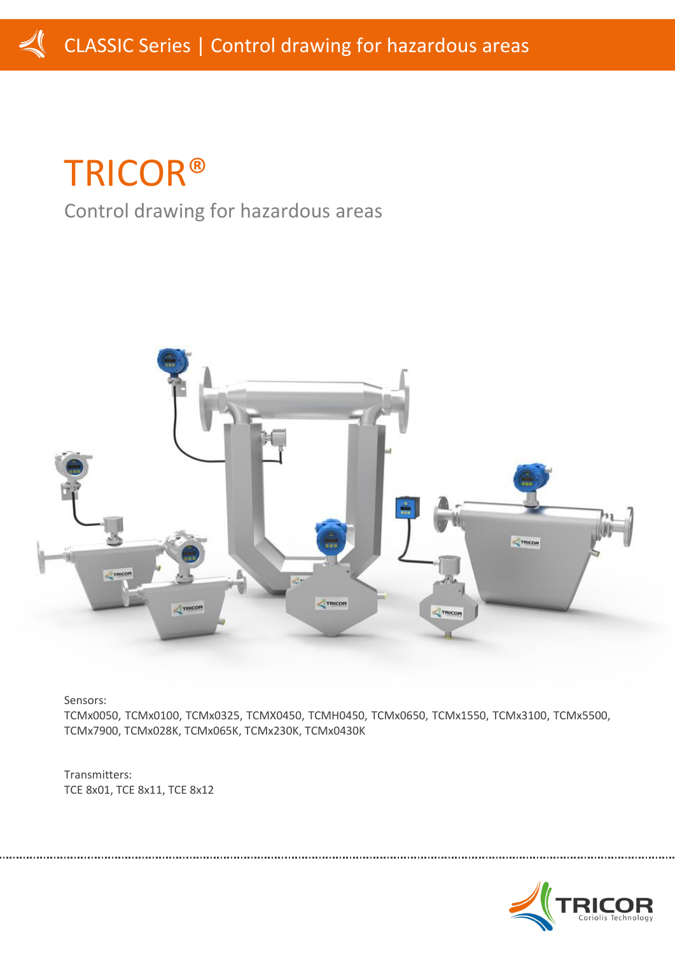TRICOR®

Control drawing for hazardous areas



Sensors:

TCMx0050, TCMx0100, TCMx0325, TCMX0450, TCMH0450, TCMx0650, TCMx1550, TCMx3100, TCMx5500, TCMx7900, TCMx028K, TCMx065K, TCMx230K, TCMx0430K

Transmitters: TCE 8x01, TCE 8x11, TCE 8x12

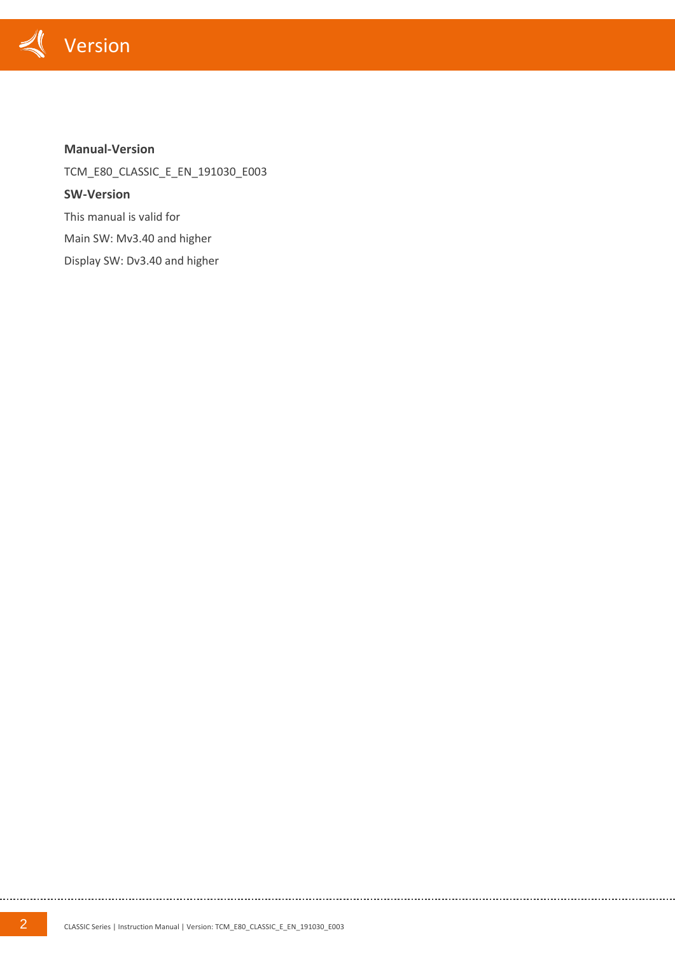

## **Manual-Version**

TCM\_E80\_CLASSIC\_E\_EN\_191030\_E003 **SW-Version** This manual is valid for Main SW: Mv3.40 and higher Display SW: Dv3.40 and higher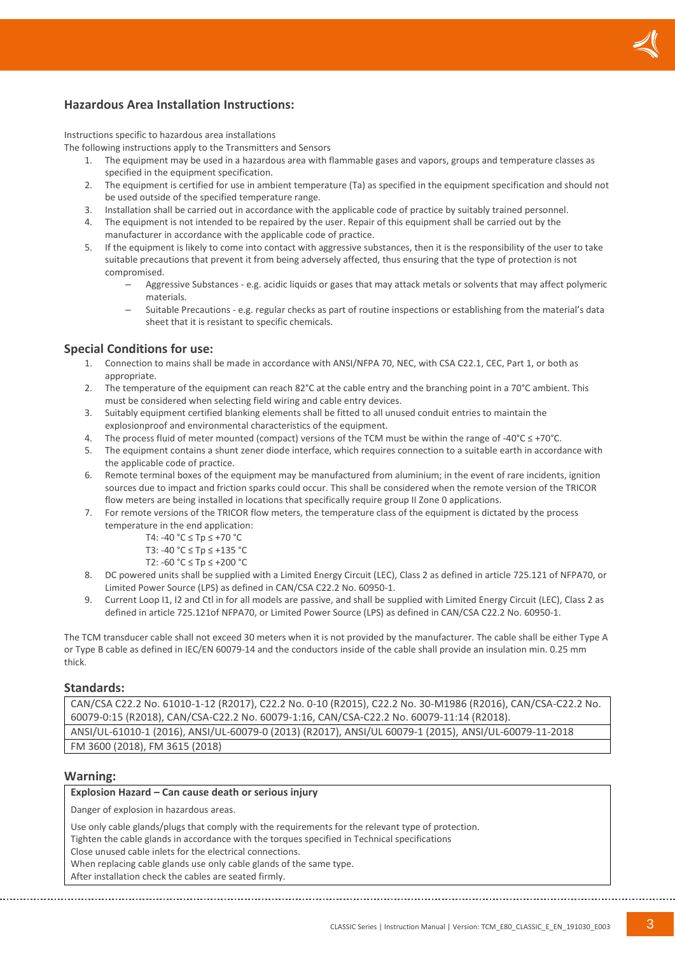## **Hazardous Area Installation Instructions:**

Instructions specific to hazardous area installations

The following instructions apply to the Transmitters and Sensors

- 1. The equipment may be used in a hazardous area with flammable gases and vapors, groups and temperature classes as specified in the equipment specification.
- 2. The equipment is certified for use in ambient temperature (Ta) as specified in the equipment specification and should not be used outside of the specified temperature range.
- 3. Installation shall be carried out in accordance with the applicable code of practice by suitably trained personnel.
- 4. The equipment is not intended to be repaired by the user. Repair of this equipment shall be carried out by the manufacturer in accordance with the applicable code of practice.
- 5. If the equipment is likely to come into contact with aggressive substances, then it is the responsibility of the user to take suitable precautions that prevent it from being adversely affected, thus ensuring that the type of protection is not compromised.
	- Aggressive Substances e.g. acidic liquids or gases that may attack metals or solvents that may affect polymeric materials.
	- Suitable Precautions e.g. regular checks as part of routine inspections or establishing from the material's data sheet that it is resistant to specific chemicals.

## **Special Conditions for use:**

- 1. Connection to mains shall be made in accordance with ANSI/NFPA 70, NEC, with CSA C22.1, CEC, Part 1, or both as appropriate.
- 2. The temperature of the equipment can reach 82°C at the cable entry and the branching point in a 70°C ambient. This must be considered when selecting field wiring and cable entry devices.
- 3. Suitably equipment certified blanking elements shall be fitted to all unused conduit entries to maintain the explosionproof and environmental characteristics of the equipment.
- 4. The process fluid of meter mounted (compact) versions of the TCM must be within the range of -40°C ≤ +70°C.
- 5. The equipment contains a shunt zener diode interface, which requires connection to a suitable earth in accordance with the applicable code of practice.
- 6. Remote terminal boxes of the equipment may be manufactured from aluminium; in the event of rare incidents, ignition sources due to impact and friction sparks could occur. This shall be considered when the remote version of the TRICOR flow meters are being installed in locations that specifically require group II Zone 0 applications.
- 7. For remote versions of the TRICOR flow meters, the temperature class of the equipment is dictated by the process temperature in the end application:
	- T4: -40 °C ≤ Tp ≤ +70 °C
	- T3: -40 °C ≤ Tp ≤ +135 °C
	- T2: -60 °C ≤ Tp ≤ +200 °C
- 8. DC powered units shall be supplied with a Limited Energy Circuit (LEC), Class 2 as defined in article 725.121 of NFPA70, or Limited Power Source (LPS) as defined in CAN/CSA C22.2 No. 60950-1.
- 9. Current Loop I1, I2 and Ctl in for all models are passive, and shall be supplied with Limited Energy Circuit (LEC), Class 2 as defined in article 725.121of NFPA70, or Limited Power Source (LPS) as defined in CAN/CSA C22.2 No. 60950-1.

The TCM transducer cable shall not exceed 30 meters when it is not provided by the manufacturer. The cable shall be either Type A or Type B cable as defined in IEC/EN 60079-14 and the conductors inside of the cable shall provide an insulation min. 0.25 mm thick.

## **Standards:**

CAN/CSA C22.2 No. 61010-1-12 (R2017), C22.2 No. 0-10 (R2015), C22.2 No. 30-M1986 (R2016), CAN/CSA-C22.2 No. 60079-0:15 (R2018), CAN/CSA-C22.2 No. 60079-1:16, CAN/CSA-C22.2 No. 60079-11:14 (R2018). ANSI/UL-61010-1 (2016), ANSI/UL-60079-0 (2013) (R2017), ANSI/UL 60079-1 (2015), ANSI/UL-60079-11-2018 FM 3600 (2018), FM 3615 (2018)

### **Warning:**

### **Explosion Hazard – Can cause death or serious injury**

Danger of explosion in hazardous areas.

Use only cable glands/plugs that comply with the requirements for the relevant type of protection.

Tighten the cable glands in accordance with the torques specified in Technical specifications

Close unused cable inlets for the electrical connections.

When replacing cable glands use only cable glands of the same type.

After installation check the cables are seated firmly.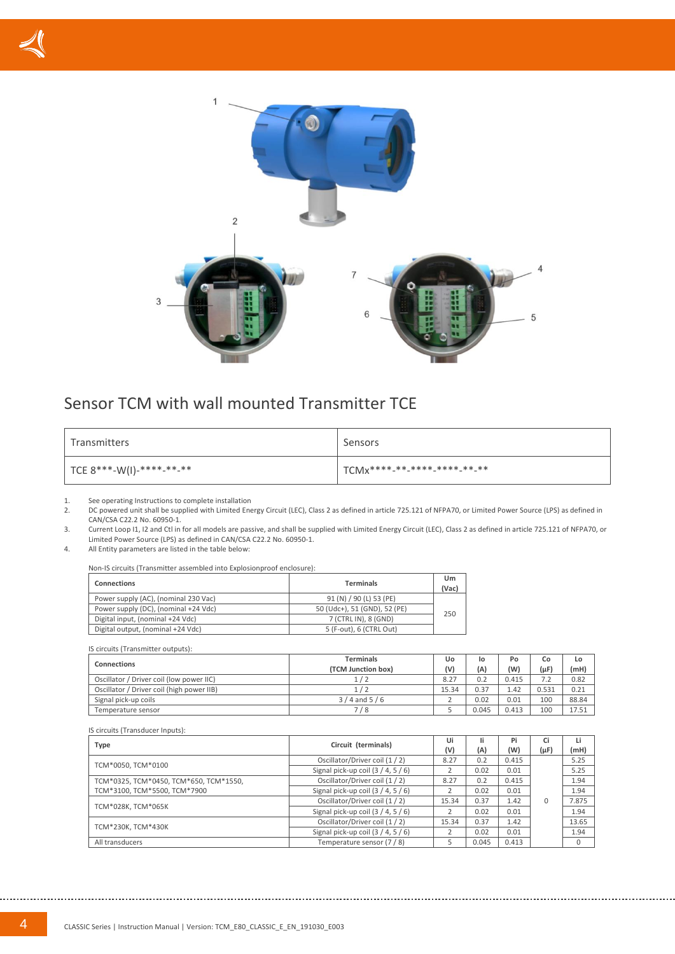



# Sensor TCM with wall mounted Transmitter TCE

| l Transmitters           | Sensors                                    |
|--------------------------|--------------------------------------------|
| TCE 8***-W(I)-****-**-** | $\frac{1}{2}$ TCMx*****-**-****-****-**-** |

1. See operating Instructions to complete installation

2. DC powered unit shall be supplied with Limited Energy Circuit (LEC), Class 2 as defined in article 725.121 of NFPA70, or Limited Power Source (LPS) as defined in CAN/CSA C22.2 No. 60950-1.

3. Current Loop I1, I2 and Ctl in for all models are passive, and shall be supplied with Limited Energy Circuit (LEC), Class 2 as defined in article 725.121 of NFPA70, or Limited Power Source (LPS) as defined in CAN/CSA C22.2 No. 60950-1.

4. All Entity parameters are listed in the table below:

Non-IS circuits (Transmitter assembled into Explosionproof enclosure):

| <b>Terminals</b>             | Um<br>(Vac) |
|------------------------------|-------------|
| 91 (N) / 90 (L) 53 (PE)      |             |
| 50 (Udc+), 51 (GND), 52 (PE) | 250         |
| 7 (CTRL IN), 8 (GND)         |             |
| 5 (F-out), 6 (CTRL Out)      |             |
|                              |             |

IS circuits (Transmitter outputs):

| <b>Connections</b>                        | <b>Terminals</b>   | Uo    | Ιo    | Po    | Co        | Lo    |
|-------------------------------------------|--------------------|-------|-------|-------|-----------|-------|
|                                           | (TCM Junction box) | (V)   | (A)   | (W)   | $(\mu F)$ | (mH)  |
| Oscillator / Driver coil (low power IIC)  |                    | 8.27  | 0.2   | 0.415 | 7.2       | 0.82  |
| Oscillator / Driver coil (high power IIB) | $\frac{1}{2}$      | 15.34 | 0.37  | 1.42  | 0.531     | 0.21  |
| Signal pick-up coils                      | $3/4$ and $5/6$    |       | 0.02  | 0.01  | 100       | 88.84 |
| Temperature sensor                        | /8                 |       | 0.045 | 0.413 | 100       | 17.51 |

IS circuits (Transducer Inputs):

| Type                                   | Circuit (terminals)                  | Ui    |       | Pi    | Ci        | Li       |
|----------------------------------------|--------------------------------------|-------|-------|-------|-----------|----------|
|                                        |                                      | (V)   | (A)   | (W)   | $(\mu F)$ | (mH)     |
| TCM*0050, TCM*0100                     | Oscillator/Driver coil (1/2)         | 8.27  | 0.2   | 0.415 |           | 5.25     |
|                                        | Signal pick-up coil $(3 / 4, 5 / 6)$ |       | 0.02  | 0.01  |           | 5.25     |
| TCM*0325, TCM*0450, TCM*650, TCM*1550, | Oscillator/Driver coil (1/2)         | 8.27  | 0.2   | 0.415 |           | 1.94     |
| TCM*3100, TCM*5500, TCM*7900           | Signal pick-up coil $(3 / 4, 5 / 6)$ |       | 0.02  | 0.01  |           | 1.94     |
| TCM*028K, TCM*065K                     | Oscillator/Driver coil (1/2)         | 15.34 | 0.37  | 1.42  | $\Omega$  | 7.875    |
|                                        | Signal pick-up coil $(3 / 4, 5 / 6)$ |       | 0.02  | 0.01  |           | 1.94     |
| TCM*230K, TCM*430K                     | Oscillator/Driver coil (1/2)         | 15.34 | 0.37  | 1.42  |           | 13.65    |
|                                        | Signal pick-up coil $(3 / 4, 5 / 6)$ |       | 0.02  | 0.01  |           | 1.94     |
| All transducers                        | Temperature sensor (7 / 8)           |       | 0.045 | 0.413 |           | $\Omega$ |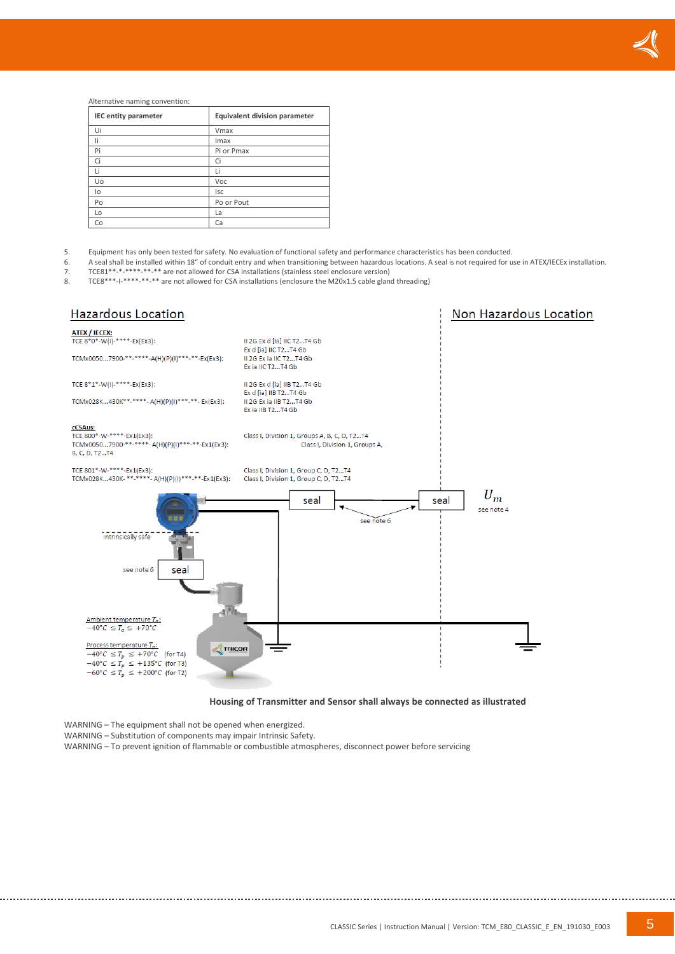

#### Alternative naming convention:

| <b>IEC entity parameter</b> | <b>Equivalent division parameter</b> |
|-----------------------------|--------------------------------------|
| Ui                          | Vmax                                 |
| Ιi                          | Imax                                 |
| Pi                          | Pi or Pmax                           |
| Ci                          | Ci                                   |
| Li                          | Li                                   |
| Uo                          | Voc                                  |
| lo                          | <b>Isc</b>                           |
| Po                          | Po or Pout                           |
| Lo                          | La                                   |
| Co                          | Ca                                   |

5. Equipment has only been tested for safety. No evaluation of functional safety and performance characteristics has been conducted.

6. A seal shall be installed within 18" of conduit entry and when transitioning between hazardous locations. A seal is not required for use in ATEX/IECEx installation. 7. TCE81\*\*-\*-\*\*\*\*-\*\*-\*\* are not allowed for CSA installations (stainless steel enclosure version)

8. TCE8\*\*\*-1-\*\*\*\*-\*\*-\*\* are not allowed for CSA installations (enclosure the M20x1.5 cable gland threading)





WARNING – The equipment shall not be opened when energized.

WARNING – Substitution of components may impair Intrinsic Safety.

WARNING – To prevent ignition of flammable or combustible atmospheres, disconnect power before servicing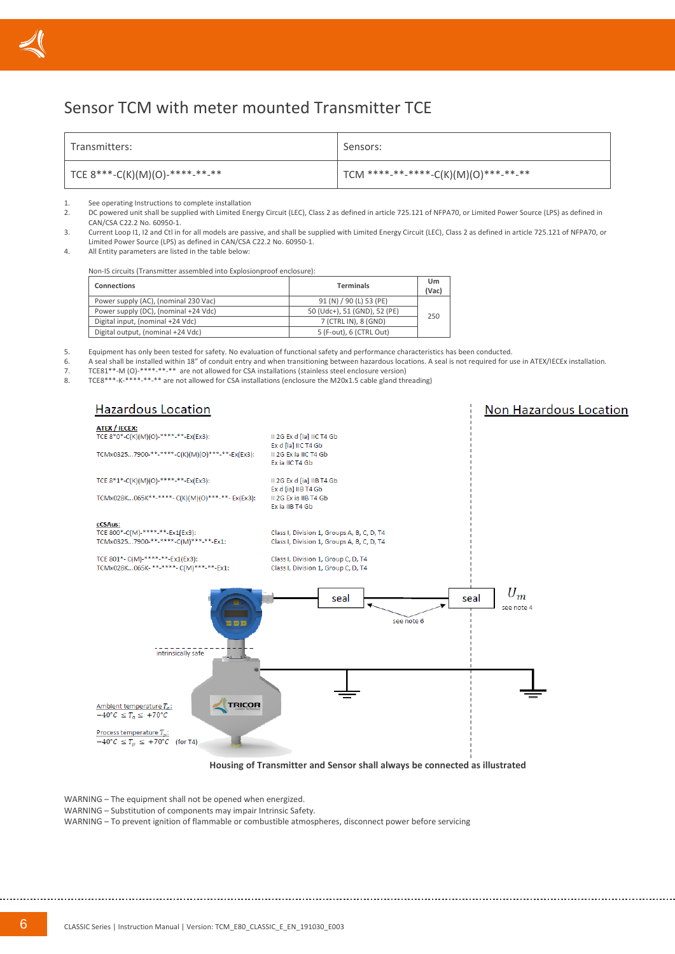

# Sensor TCM with meter mounted Transmitter TCE

| l Transmitters:                | Sensors:                              |
|--------------------------------|---------------------------------------|
| TCE 8***-C(K)(M)(O)-****-**-** | TCM ****-**-*****-C(K)(M)(O)***-**-** |

1. See operating Instructions to complete installation

2. DC powered unit shall be supplied with Limited Energy Circuit (LEC), Class 2 as defined in article 725.121 of NFPA70, or Limited Power Source (LPS) as defined in CAN/CSA C22.2 No. 60950-1.

3. Current Loop I1, I2 and Ctl in for all models are passive, and shall be supplied with Limited Energy Circuit (LEC), Class 2 as defined in article 725.121 of NFPA70, or Limited Power Source (LPS) as defined in CAN/CSA C22.2 No. 60950-1.

4. All Entity parameters are listed in the table below:

Non-IS circuits (Transmitter assembled into Explosionproof enclosure):

| Connections                          | <b>Terminals</b>             | Um<br>(Vac) |
|--------------------------------------|------------------------------|-------------|
| Power supply (AC), (nominal 230 Vac) | 91 (N) / 90 (L) 53 (PE)      |             |
| Power supply (DC), (nominal +24 Vdc) | 50 (Udc+), 51 (GND), 52 (PE) | 250         |
| Digital input, (nominal +24 Vdc)     | 7 (CTRL IN), 8 (GND)         |             |
| Digital output, (nominal +24 Vdc)    | 5 (F-out), 6 (CTRL Out)      |             |

5. Equipment has only been tested for safety. No evaluation of functional safety and performance characteristics has been conducted.

6. A seal shall be installed within 18" of conduit entry and when transitioning between hazardous locations. A seal is not required for use in ATEX/IECEx installation.

7. TCE81\*\*-M (O)-\*\*\*\*-\*\*-\*\* are not allowed for CSA installations (stainless steel enclosure version)<br>8. TCE8\*\*\*-K-\*\*\*\*-\*\*\* are not allowed for CSA installations (enclosure the M20x1 5 cable gland thr

TCE8\*\*\*-K-\*\*\*\*-\*\*\* are not allowed for CSA installations (enclosure the M20x1.5 cable gland threading)



#### **Housing of Transmitter and Sensor shall always be connected as illustrated**

WARNING – The equipment shall not be opened when energized.

WARNING – Substitution of components may impair Intrinsic Safety.

WARNING – To prevent ignition of flammable or combustible atmospheres, disconnect power before servicing